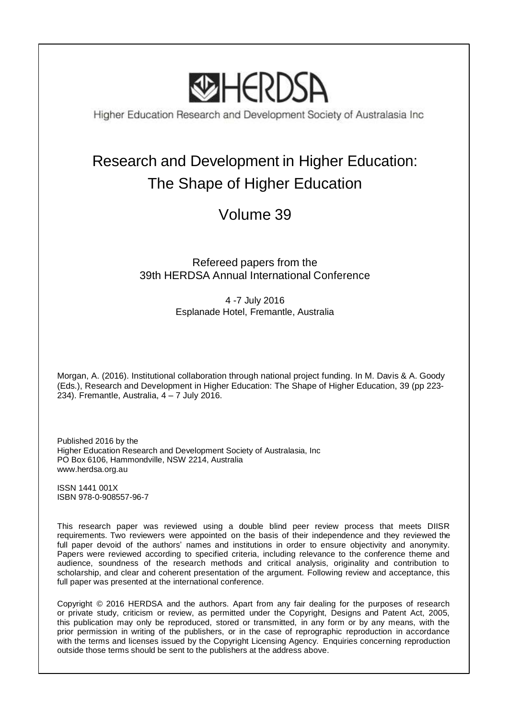

Higher Education Research and Development Society of Australasia Inc

# Research and Development in Higher Education: The Shape of Higher Education

## Volume 39

## Refereed papers from the 39th HERDSA Annual International Conference

4 -7 July 2016 Esplanade Hotel, Fremantle, Australia

Morgan, A. (2016). Institutional collaboration through national project funding. In M. Davis & A. Goody (Eds.), Research and Development in Higher Education: The Shape of Higher Education, 39 (pp 223- 234). Fremantle, Australia,  $4 - 7$  July 2016.

Published 2016 by the Higher Education Research and Development Society of Australasia, Inc PO Box 6106, Hammondville, NSW 2214, Australia www.herdsa.org.au

ISSN 1441 001X ISBN 978-0-908557-96-7

This research paper was reviewed using a double blind peer review process that meets DIISR requirements. Two reviewers were appointed on the basis of their independence and they reviewed the full paper devoid of the authors' names and institutions in order to ensure objectivity and anonymity. Papers were reviewed according to specified criteria, including relevance to the conference theme and audience, soundness of the research methods and critical analysis, originality and contribution to scholarship, and clear and coherent presentation of the argument. Following review and acceptance, this full paper was presented at the international conference.

Copyright © 2016 HERDSA and the authors. Apart from any fair dealing for the purposes of research or private study, criticism or review, as permitted under the Copyright, Designs and Patent Act, 2005, this publication may only be reproduced, stored or transmitted, in any form or by any means, with the prior permission in writing of the publishers, or in the case of reprographic reproduction in accordance with the terms and licenses issued by the Copyright Licensing Agency. Enquiries concerning reproduction outside those terms should be sent to the publishers at the address above.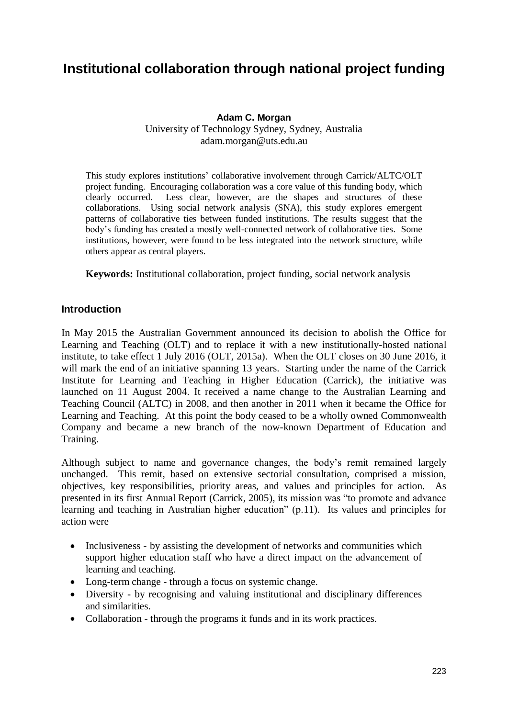## **Institutional collaboration through national project funding**

#### **Adam C. Morgan** University of Technology Sydney, Sydney, Australia adam.morgan@uts.edu.au

This study explores institutions' collaborative involvement through Carrick/ALTC/OLT project funding. Encouraging collaboration was a core value of this funding body, which clearly occurred. Less clear, however, are the shapes and structures of these collaborations. Using social network analysis (SNA), this study explores emergent patterns of collaborative ties between funded institutions. The results suggest that the body's funding has created a mostly well-connected network of collaborative ties. Some institutions, however, were found to be less integrated into the network structure, while others appear as central players.

**Keywords:** Institutional collaboration, project funding, social network analysis

#### **Introduction**

In May 2015 the Australian Government announced its decision to abolish the Office for Learning and Teaching (OLT) and to replace it with a new institutionally-hosted national institute, to take effect 1 July 2016 (OLT, 2015a). When the OLT closes on 30 June 2016, it will mark the end of an initiative spanning 13 years. Starting under the name of the Carrick Institute for Learning and Teaching in Higher Education (Carrick), the initiative was launched on 11 August 2004. It received a name change to the Australian Learning and Teaching Council (ALTC) in 2008, and then another in 2011 when it became the Office for Learning and Teaching. At this point the body ceased to be a wholly owned Commonwealth Company and became a new branch of the now-known Department of Education and Training.

Although subject to name and governance changes, the body's remit remained largely unchanged. This remit, based on extensive sectorial consultation, comprised a mission, objectives, key responsibilities, priority areas, and values and principles for action. As presented in its first Annual Report (Carrick, 2005), its mission was "to promote and advance learning and teaching in Australian higher education" (p.11). Its values and principles for action were

- Inclusiveness by assisting the development of networks and communities which support higher education staff who have a direct impact on the advancement of learning and teaching.
- Long-term change through a focus on systemic change.
- Diversity by recognising and valuing institutional and disciplinary differences and similarities.
- Collaboration through the programs it funds and in its work practices.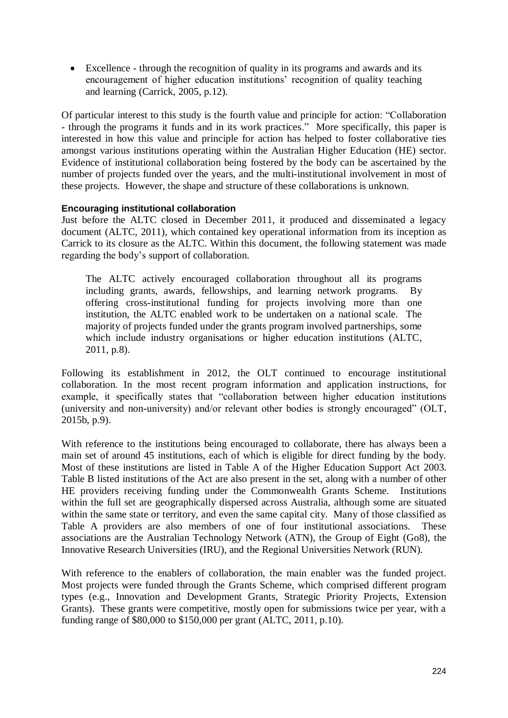Excellence - through the recognition of quality in its programs and awards and its encouragement of higher education institutions' recognition of quality teaching and learning (Carrick, 2005, p.12).

Of particular interest to this study is the fourth value and principle for action: "Collaboration - through the programs it funds and in its work practices." More specifically, this paper is interested in how this value and principle for action has helped to foster collaborative ties amongst various institutions operating within the Australian Higher Education (HE) sector. Evidence of institutional collaboration being fostered by the body can be ascertained by the number of projects funded over the years, and the multi-institutional involvement in most of these projects. However, the shape and structure of these collaborations is unknown.

#### **Encouraging institutional collaboration**

Just before the ALTC closed in December 2011, it produced and disseminated a legacy document (ALTC, 2011), which contained key operational information from its inception as Carrick to its closure as the ALTC. Within this document, the following statement was made regarding the body's support of collaboration.

The ALTC actively encouraged collaboration throughout all its programs including grants, awards, fellowships, and learning network programs. By offering cross-institutional funding for projects involving more than one institution, the ALTC enabled work to be undertaken on a national scale. The majority of projects funded under the grants program involved partnerships, some which include industry organisations or higher education institutions (ALTC, 2011, p.8).

Following its establishment in 2012, the OLT continued to encourage institutional collaboration. In the most recent program information and application instructions, for example, it specifically states that "collaboration between higher education institutions (university and non-university) and/or relevant other bodies is strongly encouraged" (OLT, 2015b, p.9).

With reference to the institutions being encouraged to collaborate, there has always been a main set of around 45 institutions, each of which is eligible for direct funding by the body. Most of these institutions are listed in Table A of the Higher Education Support Act 2003. Table B listed institutions of the Act are also present in the set, along with a number of other HE providers receiving funding under the Commonwealth Grants Scheme. Institutions within the full set are geographically dispersed across Australia, although some are situated within the same state or territory, and even the same capital city. Many of those classified as Table A providers are also members of one of four institutional associations. These associations are the Australian Technology Network (ATN), the Group of Eight (Go8), the Innovative Research Universities (IRU), and the Regional Universities Network (RUN).

With reference to the enablers of collaboration, the main enabler was the funded project. Most projects were funded through the Grants Scheme, which comprised different program types (e.g., Innovation and Development Grants, Strategic Priority Projects, Extension Grants). These grants were competitive, mostly open for submissions twice per year, with a funding range of \$80,000 to \$150,000 per grant (ALTC, 2011, p.10).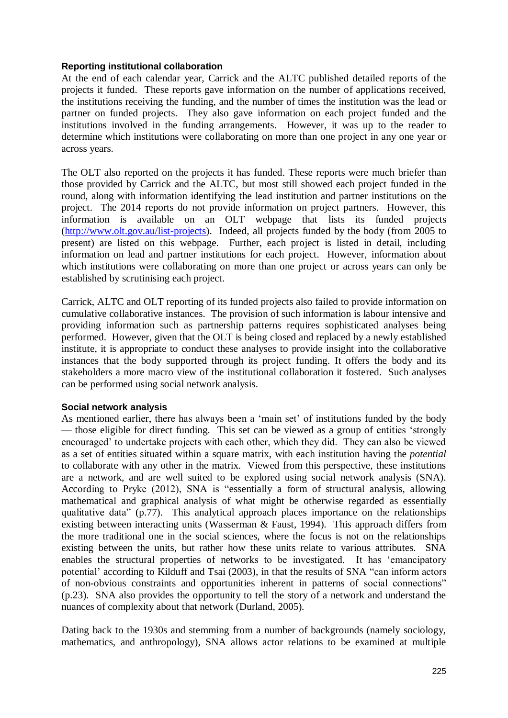#### **Reporting institutional collaboration**

At the end of each calendar year, Carrick and the ALTC published detailed reports of the projects it funded. These reports gave information on the number of applications received, the institutions receiving the funding, and the number of times the institution was the lead or partner on funded projects. They also gave information on each project funded and the institutions involved in the funding arrangements. However, it was up to the reader to determine which institutions were collaborating on more than one project in any one year or across years.

The OLT also reported on the projects it has funded. These reports were much briefer than those provided by Carrick and the ALTC, but most still showed each project funded in the round, along with information identifying the lead institution and partner institutions on the project. The 2014 reports do not provide information on project partners. However, this information is available on an OLT webpage that lists its funded projects [\(http://www.olt.gov.au/list-projects\)](http://www.olt.gov.au/list-projects). Indeed, all projects funded by the body (from 2005 to present) are listed on this webpage. Further, each project is listed in detail, including information on lead and partner institutions for each project. However, information about which institutions were collaborating on more than one project or across years can only be established by scrutinising each project.

Carrick, ALTC and OLT reporting of its funded projects also failed to provide information on cumulative collaborative instances. The provision of such information is labour intensive and providing information such as partnership patterns requires sophisticated analyses being performed. However, given that the OLT is being closed and replaced by a newly established institute, it is appropriate to conduct these analyses to provide insight into the collaborative instances that the body supported through its project funding. It offers the body and its stakeholders a more macro view of the institutional collaboration it fostered. Such analyses can be performed using social network analysis.

#### **Social network analysis**

As mentioned earlier, there has always been a 'main set' of institutions funded by the body — those eligible for direct funding. This set can be viewed as a group of entities 'strongly encouraged' to undertake projects with each other, which they did. They can also be viewed as a set of entities situated within a square matrix, with each institution having the *potential* to collaborate with any other in the matrix. Viewed from this perspective, these institutions are a network, and are well suited to be explored using social network analysis (SNA). According to Pryke (2012), SNA is "essentially a form of structural analysis, allowing mathematical and graphical analysis of what might be otherwise regarded as essentially qualitative data" (p.77). This analytical approach places importance on the relationships existing between interacting units (Wasserman & Faust, 1994). This approach differs from the more traditional one in the social sciences, where the focus is not on the relationships existing between the units, but rather how these units relate to various attributes. SNA enables the structural properties of networks to be investigated. It has 'emancipatory potential' according to Kilduff and Tsai (2003), in that the results of SNA "can inform actors of non-obvious constraints and opportunities inherent in patterns of social connections" (p.23). SNA also provides the opportunity to tell the story of a network and understand the nuances of complexity about that network (Durland, 2005).

Dating back to the 1930s and stemming from a number of backgrounds (namely sociology, mathematics, and anthropology), SNA allows actor relations to be examined at multiple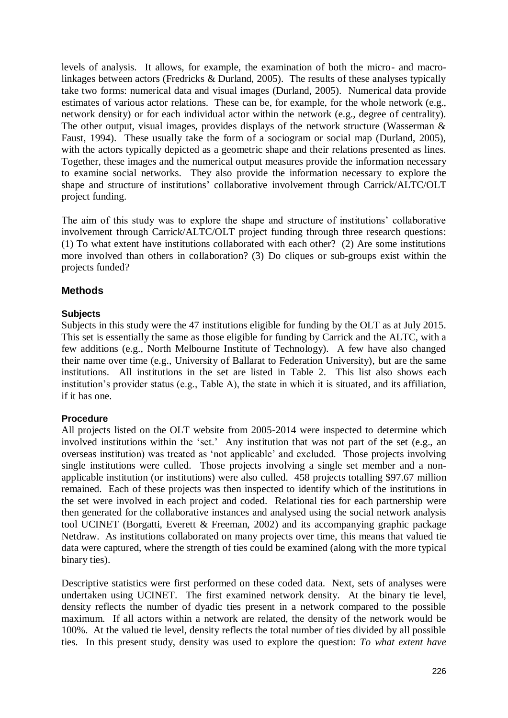levels of analysis. It allows, for example, the examination of both the micro- and macrolinkages between actors (Fredricks & Durland, 2005). The results of these analyses typically take two forms: numerical data and visual images (Durland, 2005). Numerical data provide estimates of various actor relations. These can be, for example, for the whole network (e.g., network density) or for each individual actor within the network (e.g., degree of centrality). The other output, visual images, provides displays of the network structure (Wasserman & Faust, 1994). These usually take the form of a sociogram or social map (Durland, 2005), with the actors typically depicted as a geometric shape and their relations presented as lines. Together, these images and the numerical output measures provide the information necessary to examine social networks. They also provide the information necessary to explore the shape and structure of institutions' collaborative involvement through Carrick/ALTC/OLT project funding.

The aim of this study was to explore the shape and structure of institutions' collaborative involvement through Carrick/ALTC/OLT project funding through three research questions: (1) To what extent have institutions collaborated with each other? (2) Are some institutions more involved than others in collaboration? (3) Do cliques or sub-groups exist within the projects funded?

### **Methods**

#### **Subjects**

Subjects in this study were the 47 institutions eligible for funding by the OLT as at July 2015. This set is essentially the same as those eligible for funding by Carrick and the ALTC, with a few additions (e.g., North Melbourne Institute of Technology). A few have also changed their name over time (e.g., University of Ballarat to Federation University), but are the same institutions. All institutions in the set are listed in Table 2. This list also shows each institution's provider status (e.g., Table A), the state in which it is situated, and its affiliation, if it has one.

#### **Procedure**

All projects listed on the OLT website from 2005-2014 were inspected to determine which involved institutions within the 'set.' Any institution that was not part of the set (e.g., an overseas institution) was treated as 'not applicable' and excluded. Those projects involving single institutions were culled. Those projects involving a single set member and a nonapplicable institution (or institutions) were also culled. 458 projects totalling \$97.67 million remained. Each of these projects was then inspected to identify which of the institutions in the set were involved in each project and coded. Relational ties for each partnership were then generated for the collaborative instances and analysed using the social network analysis tool UCINET (Borgatti, Everett & Freeman, 2002) and its accompanying graphic package Netdraw. As institutions collaborated on many projects over time, this means that valued tie data were captured, where the strength of ties could be examined (along with the more typical binary ties).

Descriptive statistics were first performed on these coded data. Next, sets of analyses were undertaken using UCINET. The first examined network density. At the binary tie level, density reflects the number of dyadic ties present in a network compared to the possible maximum. If all actors within a network are related, the density of the network would be 100%. At the valued tie level, density reflects the total number of ties divided by all possible ties. In this present study, density was used to explore the question: *To what extent have*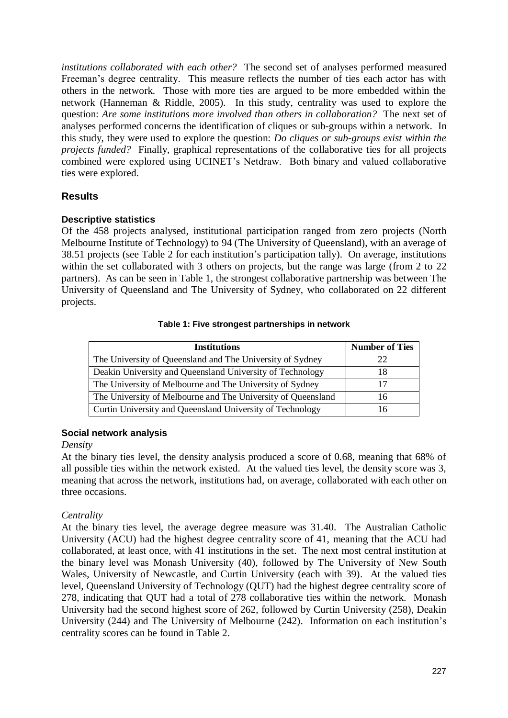*institutions collaborated with each other?* The second set of analyses performed measured Freeman's degree centrality. This measure reflects the number of ties each actor has with others in the network. Those with more ties are argued to be more embedded within the network (Hanneman & Riddle, 2005). In this study, centrality was used to explore the question: *Are some institutions more involved than others in collaboration?* The next set of analyses performed concerns the identification of cliques or sub-groups within a network. In this study, they were used to explore the question: *Do cliques or sub-groups exist within the projects funded?* Finally, graphical representations of the collaborative ties for all projects combined were explored using UCINET's Netdraw. Both binary and valued collaborative ties were explored.

#### **Results**

#### **Descriptive statistics**

Of the 458 projects analysed, institutional participation ranged from zero projects (North Melbourne Institute of Technology) to 94 (The University of Queensland), with an average of 38.51 projects (see Table 2 for each institution's participation tally). On average, institutions within the set collaborated with 3 others on projects, but the range was large (from 2 to 22 partners). As can be seen in Table 1, the strongest collaborative partnership was between The University of Queensland and The University of Sydney, who collaborated on 22 different projects.

#### **Table 1: Five strongest partnerships in network**

| <b>Institutions</b>                                          | <b>Number of Ties</b> |  |
|--------------------------------------------------------------|-----------------------|--|
| The University of Queensland and The University of Sydney    | つつ                    |  |
| Deakin University and Queensland University of Technology    | 18                    |  |
| The University of Melbourne and The University of Sydney     | 17                    |  |
| The University of Melbourne and The University of Queensland | 16                    |  |
| Curtin University and Queensland University of Technology    | 16                    |  |

#### **Social network analysis**

#### *Density*

At the binary ties level, the density analysis produced a score of 0.68, meaning that 68% of all possible ties within the network existed. At the valued ties level, the density score was 3, meaning that across the network, institutions had, on average, collaborated with each other on three occasions.

#### *Centrality*

At the binary ties level, the average degree measure was 31.40. The Australian Catholic University (ACU) had the highest degree centrality score of 41, meaning that the ACU had collaborated, at least once, with 41 institutions in the set. The next most central institution at the binary level was Monash University (40), followed by The University of New South Wales, University of Newcastle, and Curtin University (each with 39). At the valued ties level, Queensland University of Technology (QUT) had the highest degree centrality score of 278, indicating that QUT had a total of 278 collaborative ties within the network. Monash University had the second highest score of 262, followed by Curtin University (258), Deakin University (244) and The University of Melbourne (242). Information on each institution's centrality scores can be found in Table 2.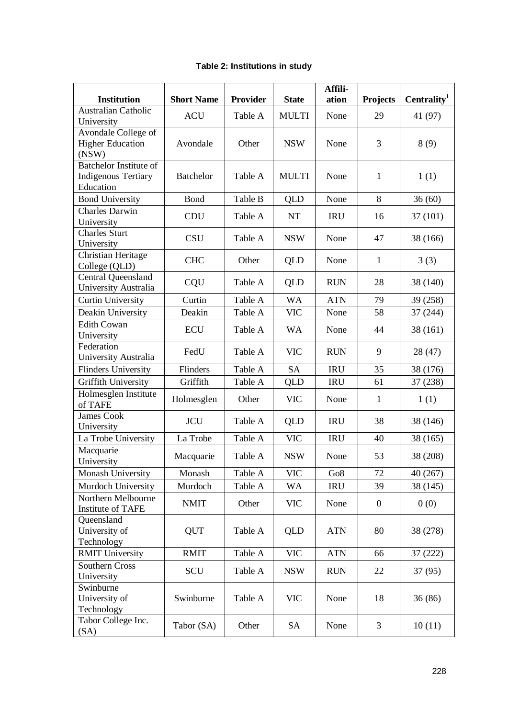| <b>Institution</b>                                                       | <b>Short Name</b> | Provider | <b>State</b> | Affili-<br>ation | <b>Projects</b>  | Centrality <sup>1</sup> |
|--------------------------------------------------------------------------|-------------------|----------|--------------|------------------|------------------|-------------------------|
| <b>Australian Catholic</b><br>University                                 | <b>ACU</b>        | Table A  | <b>MULTI</b> | None             | 29               | 41 (97)                 |
| Avondale College of<br><b>Higher Education</b><br>(NSW)                  | Avondale          | Other    | <b>NSW</b>   | None             | 3                | 8(9)                    |
| <b>Batchelor Institute of</b><br><b>Indigenous Tertiary</b><br>Education | <b>Batchelor</b>  | Table A  | <b>MULTI</b> | None             | $\mathbf{1}$     | 1(1)                    |
| <b>Bond University</b>                                                   | Bond              | Table B  | QLD          | None             | 8                | 36(60)                  |
| <b>Charles Darwin</b><br>University                                      | <b>CDU</b>        | Table A  | NT           | <b>IRU</b>       | 16               | 37 (101)                |
| <b>Charles Sturt</b><br>University                                       | <b>CSU</b>        | Table A  | <b>NSW</b>   | None             | 47               | 38 (166)                |
| Christian Heritage<br>College (QLD)                                      | <b>CHC</b>        | Other    | <b>QLD</b>   | None             | $\mathbf{1}$     | 3(3)                    |
| Central Queensland<br>University Australia                               | CQU               | Table A  | QLD          | <b>RUN</b>       | 28               | 38 (140)                |
| <b>Curtin University</b>                                                 | Curtin            | Table A  | <b>WA</b>    | <b>ATN</b>       | 79               | 39 (258)                |
| Deakin University                                                        | Deakin            | Table A  | <b>VIC</b>   | None             | 58               | 37 (244)                |
| <b>Edith Cowan</b><br>University                                         | <b>ECU</b>        | Table A  | <b>WA</b>    | None             | 44               | 38 (161)                |
| Federation<br>University Australia                                       | FedU              | Table A  | <b>VIC</b>   | <b>RUN</b>       | 9                | 28 (47)                 |
| <b>Flinders University</b>                                               | Flinders          | Table A  | <b>SA</b>    | <b>IRU</b>       | 35               | 38 (176)                |
| Griffith University                                                      | Griffith          | Table A  | QLD          | <b>IRU</b>       | 61               | 37 (238)                |
| Holmesglen Institute<br>of TAFE                                          | Holmesglen        | Other    | <b>VIC</b>   | None             | $\mathbf{1}$     | 1(1)                    |
| <b>James Cook</b><br>University                                          | <b>JCU</b>        | Table A  | QLD          | <b>IRU</b>       | 38               | 38 (146)                |
| La Trobe University                                                      | La Trobe          | Table A  | <b>VIC</b>   | <b>IRU</b>       | 40               | 38 (165)                |
| Macquarie<br>University                                                  | Macquarie         | Table A  | <b>NSW</b>   | None             | 53               | 38 (208)                |
| Monash University                                                        | Monash            | Table A  | <b>VIC</b>   | Go <sub>8</sub>  | 72               | 40 (267)                |
| Murdoch University                                                       | Murdoch           | Table A  | WA           | <b>IRU</b>       | 39               | 38 (145)                |
| Northern Melbourne<br>Institute of TAFE                                  | <b>NMIT</b>       | Other    | <b>VIC</b>   | None             | $\boldsymbol{0}$ | 0(0)                    |
| Queensland<br>University of<br>Technology                                | <b>QUT</b>        | Table A  | QLD          | <b>ATN</b>       | 80               | 38 (278)                |
| <b>RMIT University</b>                                                   | <b>RMIT</b>       | Table A  | <b>VIC</b>   | <b>ATN</b>       | 66               | 37(222)                 |
| <b>Southern Cross</b><br>University                                      | SCU               | Table A  | <b>NSW</b>   | <b>RUN</b>       | 22               | 37(95)                  |
| Swinburne<br>University of<br>Technology                                 | Swinburne         | Table A  | <b>VIC</b>   | None             | 18               | 36(86)                  |
| Tabor College Inc.<br>(SA)                                               | Tabor (SA)        | Other    | <b>SA</b>    | None             | 3                | 10(11)                  |

### **Table 2: Institutions in study**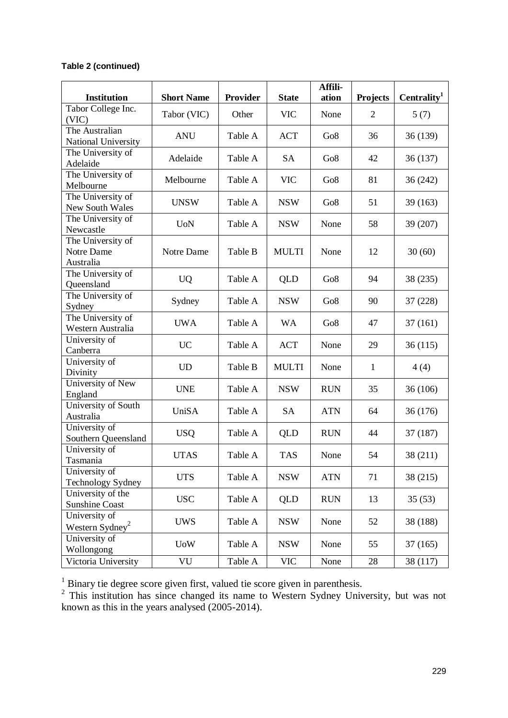## **Table 2 (continued)**

| <b>Institution</b>                   | <b>Short Name</b> | <b>Provider</b>       | <b>State</b> | Affili-<br>ation | <b>Projects</b> | Centrality <sup>1</sup> |         |
|--------------------------------------|-------------------|-----------------------|--------------|------------------|-----------------|-------------------------|---------|
| Tabor College Inc.                   |                   |                       |              |                  |                 |                         |         |
| (VIC)                                | Tabor (VIC)       | Other                 | <b>VIC</b>   | None             | $\overline{2}$  | 5(7)                    |         |
| The Australian                       | <b>ANU</b>        | Table A               | <b>ACT</b>   | Go8              | 36              | 36 (139)                |         |
| National University                  |                   |                       |              |                  |                 |                         |         |
| The University of                    | Adelaide          | Table A               | SA           | Go <sub>8</sub>  | 42              | 36(137)                 |         |
| Adelaide                             |                   |                       |              |                  |                 |                         |         |
| The University of                    | Melbourne         | Table A               | <b>VIC</b>   | Go8              | 81              | 36(242)                 |         |
| Melbourne                            |                   |                       |              |                  |                 |                         |         |
| The University of                    | <b>UNSW</b>       | Table A               | <b>NSW</b>   | Go8              | 51              | 39(163)                 |         |
| New South Wales                      |                   |                       |              |                  |                 |                         |         |
| The University of<br>Newcastle       | <b>UoN</b>        | Table A               | <b>NSW</b>   | None             | 58              | 39 (207)                |         |
| The University of                    |                   |                       |              |                  |                 |                         |         |
| Notre Dame                           | Notre Dame        | Table B               | <b>MULTI</b> | None             | 12              | 30(60)                  |         |
| Australia                            |                   |                       |              |                  |                 |                         |         |
| The University of                    |                   |                       |              |                  | 94              | 38 (235)                |         |
| Queensland                           | <b>UQ</b>         | Table A               | QLD          | Go8              |                 |                         |         |
| The University of                    |                   |                       |              | Go8              | 90              | 37(228)                 |         |
| Sydney                               | Sydney            | Table A               | <b>NSW</b>   |                  |                 |                         |         |
| The University of                    |                   | <b>UWA</b><br>Table A | <b>WA</b>    | Go8              | 47              | 37(161)                 |         |
| Western Australia                    |                   |                       |              |                  |                 |                         |         |
| University of                        |                   | <b>UC</b><br>Table A  |              | <b>ACT</b>       | None            | 29                      | 36(115) |
| Canberra                             |                   |                       |              |                  |                 |                         |         |
| University of                        |                   | <b>UD</b>             | Table B      | <b>MULTI</b>     | None            | $\mathbf{1}$            | 4(4)    |
| Divinity                             |                   |                       |              |                  |                 |                         |         |
| University of New                    | <b>UNE</b>        | Table A               | <b>NSW</b>   | <b>RUN</b>       | 35              | 36(106)                 |         |
| England                              |                   |                       |              |                  |                 |                         |         |
| University of South                  | UniSA             | Table A               | <b>SA</b>    | <b>ATN</b>       | 64              | 36(176)                 |         |
| Australia                            |                   |                       |              |                  |                 |                         |         |
| University of<br>Southern Queensland | <b>USQ</b>        | Table A               | QLD          | <b>RUN</b>       | 44              | 37 (187)                |         |
| University of                        |                   |                       |              |                  |                 |                         |         |
| Tasmania                             | <b>UTAS</b>       | Table A               | <b>TAS</b>   | None             | 54              | 38 (211)                |         |
| University of                        |                   |                       |              |                  |                 |                         |         |
| <b>Technology Sydney</b>             | <b>UTS</b>        | Table A               | <b>NSW</b>   | <b>ATN</b>       | 71              | 38 (215)                |         |
| University of the                    |                   |                       |              |                  |                 |                         |         |
| <b>Sunshine Coast</b>                | <b>USC</b>        | Table A               | <b>QLD</b>   | <b>RUN</b>       | 13              | 35(53)                  |         |
| University of                        | <b>UWS</b>        |                       |              |                  |                 |                         |         |
| Western Sydney <sup>2</sup>          |                   | Table A               | <b>NSW</b>   | None             | 52              | 38 (188)                |         |
| University of                        |                   | <b>UoW</b>            | Table A      | <b>NSW</b>       | None            | 55                      | 37(165) |
| Wollongong                           |                   |                       |              |                  |                 |                         |         |
| Victoria University                  | VU                | Table A               | <b>VIC</b>   | None             | 28              | 38 (117)                |         |

<sup>1</sup> Binary tie degree score given first, valued tie score given in parenthesis.<br><sup>2</sup> This institution has since changed its name to Western Sydney University, but was not known as this in the years analysed (2005-2014).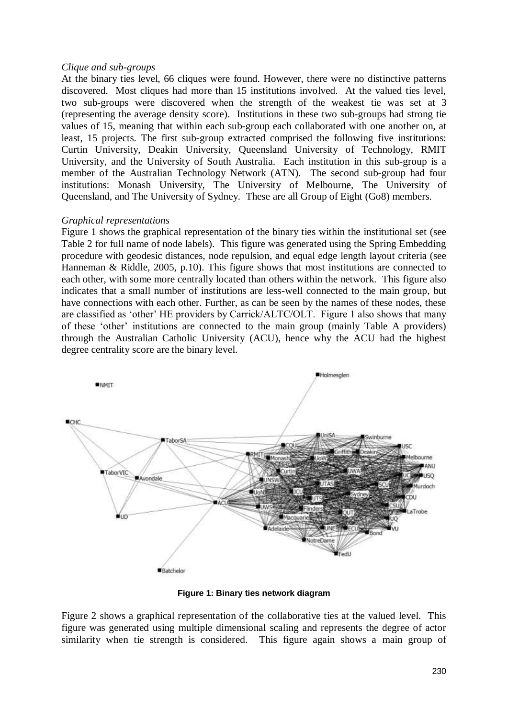#### *Clique and sub-groups*

At the binary ties level, 66 cliques were found. However, there were no distinctive patterns discovered. Most cliques had more than 15 institutions involved. At the valued ties level, two sub-groups were discovered when the strength of the weakest tie was set at 3 (representing the average density score). Institutions in these two sub-groups had strong tie values of 15, meaning that within each sub-group each collaborated with one another on, at least, 15 projects. The first sub-group extracted comprised the following five institutions: Curtin University, Deakin University, Queensland University of Technology, RMIT University, and the University of South Australia. Each institution in this sub-group is a member of the Australian Technology Network (ATN). The second sub-group had four institutions: Monash University, The University of Melbourne, The University of Queensland, and The University of Sydney. These are all Group of Eight (Go8) members.

#### *Graphical representations*

Figure 1 shows the graphical representation of the binary ties within the institutional set (see Table 2 for full name of node labels). This figure was generated using the Spring Embedding procedure with geodesic distances, node repulsion, and equal edge length layout criteria (see Hanneman & Riddle, 2005, p.10). This figure shows that most institutions are connected to each other, with some more centrally located than others within the network. This figure also indicates that a small number of institutions are less-well connected to the main group, but have connections with each other. Further, as can be seen by the names of these nodes, these are classified as 'other' HE providers by Carrick/ALTC/OLT. Figure 1 also shows that many of these 'other' institutions are connected to the main group (mainly Table A providers) through the Australian Catholic University (ACU), hence why the ACU had the highest degree centrality score are the binary level.



**Figure 1: Binary ties network diagram**

Figure 2 shows a graphical representation of the collaborative ties at the valued level. This figure was generated using multiple dimensional scaling and represents the degree of actor similarity when tie strength is considered. This figure again shows a main group of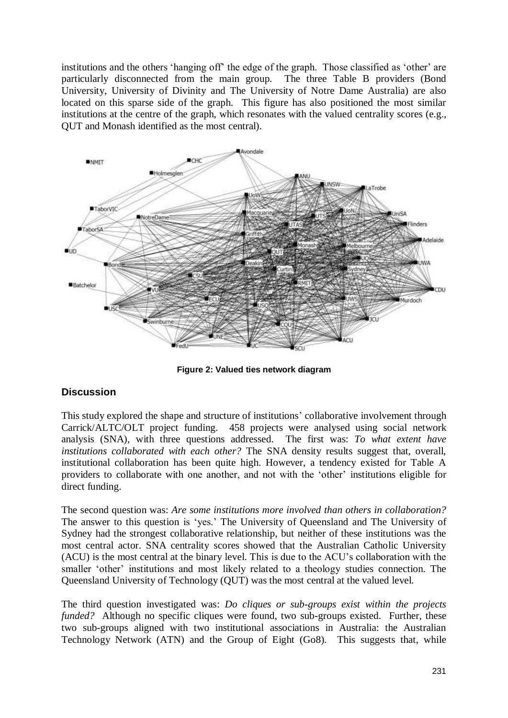institutions and the others 'hanging off' the edge of the graph. Those classified as 'other' are particularly disconnected from the main group. The three Table B providers (Bond University, University of Divinity and The University of Notre Dame Australia) are also located on this sparse side of the graph. This figure has also positioned the most similar institutions at the centre of the graph, which resonates with the valued centrality scores (e.g., QUT and Monash identified as the most central).



**Figure 2: Valued ties network diagram**

## **Discussion**

This study explored the shape and structure of institutions' collaborative involvement through Carrick/ALTC/OLT project funding. 458 projects were analysed using social network analysis (SNA), with three questions addressed. The first was: *To what extent have institutions collaborated with each other?* The SNA density results suggest that, overall, institutional collaboration has been quite high. However, a tendency existed for Table A providers to collaborate with one another, and not with the 'other' institutions eligible for direct funding.

The second question was: *Are some institutions more involved than others in collaboration?* The answer to this question is 'yes.' The University of Queensland and The University of Sydney had the strongest collaborative relationship, but neither of these institutions was the most central actor. SNA centrality scores showed that the Australian Catholic University (ACU) is the most central at the binary level. This is due to the ACU's collaboration with the smaller 'other' institutions and most likely related to a theology studies connection. The Queensland University of Technology (QUT) was the most central at the valued level.

The third question investigated was: *Do cliques or sub-groups exist within the projects funded?* Although no specific cliques were found, two sub-groups existed. Further, these two sub-groups aligned with two institutional associations in Australia: the Australian Technology Network (ATN) and the Group of Eight (Go8). This suggests that, while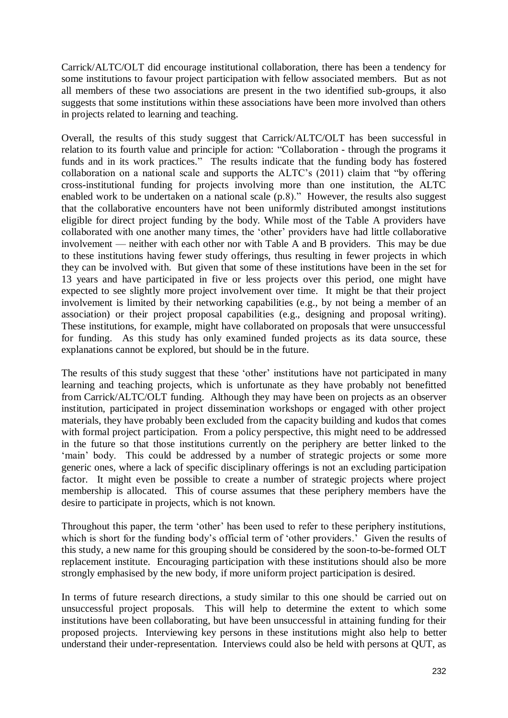Carrick/ALTC/OLT did encourage institutional collaboration, there has been a tendency for some institutions to favour project participation with fellow associated members. But as not all members of these two associations are present in the two identified sub-groups, it also suggests that some institutions within these associations have been more involved than others in projects related to learning and teaching.

Overall, the results of this study suggest that Carrick/ALTC/OLT has been successful in relation to its fourth value and principle for action: "Collaboration - through the programs it funds and in its work practices." The results indicate that the funding body has fostered collaboration on a national scale and supports the ALTC's (2011) claim that "by offering cross-institutional funding for projects involving more than one institution, the ALTC enabled work to be undertaken on a national scale (p.8)." However, the results also suggest that the collaborative encounters have not been uniformly distributed amongst institutions eligible for direct project funding by the body. While most of the Table A providers have collaborated with one another many times, the 'other' providers have had little collaborative involvement — neither with each other nor with Table A and B providers. This may be due to these institutions having fewer study offerings, thus resulting in fewer projects in which they can be involved with. But given that some of these institutions have been in the set for 13 years and have participated in five or less projects over this period, one might have expected to see slightly more project involvement over time. It might be that their project involvement is limited by their networking capabilities (e.g., by not being a member of an association) or their project proposal capabilities (e.g., designing and proposal writing). These institutions, for example, might have collaborated on proposals that were unsuccessful for funding. As this study has only examined funded projects as its data source, these explanations cannot be explored, but should be in the future.

The results of this study suggest that these 'other' institutions have not participated in many learning and teaching projects, which is unfortunate as they have probably not benefitted from Carrick/ALTC/OLT funding. Although they may have been on projects as an observer institution, participated in project dissemination workshops or engaged with other project materials, they have probably been excluded from the capacity building and kudos that comes with formal project participation. From a policy perspective, this might need to be addressed in the future so that those institutions currently on the periphery are better linked to the 'main' body. This could be addressed by a number of strategic projects or some more generic ones, where a lack of specific disciplinary offerings is not an excluding participation factor. It might even be possible to create a number of strategic projects where project membership is allocated. This of course assumes that these periphery members have the desire to participate in projects, which is not known.

Throughout this paper, the term 'other' has been used to refer to these periphery institutions, which is short for the funding body's official term of 'other providers.' Given the results of this study, a new name for this grouping should be considered by the soon-to-be-formed OLT replacement institute. Encouraging participation with these institutions should also be more strongly emphasised by the new body, if more uniform project participation is desired.

In terms of future research directions, a study similar to this one should be carried out on unsuccessful project proposals. This will help to determine the extent to which some institutions have been collaborating, but have been unsuccessful in attaining funding for their proposed projects. Interviewing key persons in these institutions might also help to better understand their under-representation. Interviews could also be held with persons at QUT, as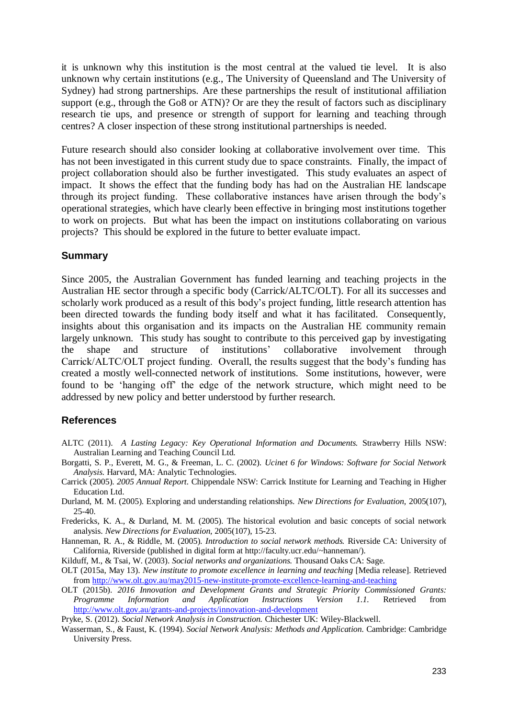it is unknown why this institution is the most central at the valued tie level. It is also unknown why certain institutions (e.g., The University of Queensland and The University of Sydney) had strong partnerships. Are these partnerships the result of institutional affiliation support (e.g., through the Go8 or ATN)? Or are they the result of factors such as disciplinary research tie ups, and presence or strength of support for learning and teaching through centres? A closer inspection of these strong institutional partnerships is needed.

Future research should also consider looking at collaborative involvement over time. This has not been investigated in this current study due to space constraints. Finally, the impact of project collaboration should also be further investigated. This study evaluates an aspect of impact. It shows the effect that the funding body has had on the Australian HE landscape through its project funding. These collaborative instances have arisen through the body's operational strategies, which have clearly been effective in bringing most institutions together to work on projects. But what has been the impact on institutions collaborating on various projects? This should be explored in the future to better evaluate impact.

#### **Summary**

Since 2005, the Australian Government has funded learning and teaching projects in the Australian HE sector through a specific body (Carrick/ALTC/OLT). For all its successes and scholarly work produced as a result of this body's project funding, little research attention has been directed towards the funding body itself and what it has facilitated. Consequently, insights about this organisation and its impacts on the Australian HE community remain largely unknown. This study has sought to contribute to this perceived gap by investigating the shape and structure of institutions' collaborative involvement through Carrick/ALTC/OLT project funding. Overall, the results suggest that the body's funding has created a mostly well-connected network of institutions. Some institutions, however, were found to be 'hanging off' the edge of the network structure, which might need to be addressed by new policy and better understood by further research.

#### **References**

- ALTC (2011). *A Lasting Legacy: Key Operational Information and Documents.* Strawberry Hills NSW: Australian Learning and Teaching Council Ltd.
- Borgatti, S. P., Everett, M. G., & Freeman, L. C. (2002). *Ucinet 6 for Windows: Software for Social Network Analysis.* Harvard, MA: Analytic Technologies.
- Carrick (2005). *2005 Annual Report.* Chippendale NSW: Carrick Institute for Learning and Teaching in Higher Education Ltd.
- Durland, M. M. (2005). Exploring and understanding relationships. *New Directions for Evaluation*, 2005(107), 25-40.
- Fredericks, K. A., & Durland, M. M. (2005). The historical evolution and basic concepts of social network analysis. *New Directions for Evaluation,* 2005(107), 15-23.
- Hanneman, R. A., & Riddle, M. (2005). *Introduction to social network methods.* Riverside CA: University of California, Riverside (published in digital form at http://faculty.ucr.edu/~hanneman/).

Kilduff, M., & Tsai, W. (2003). *Social networks and organizations.* Thousand Oaks CA: Sage.

- OLT (2015a, May 13). *New institute to promote excellence in learning and teaching* [Media release]. Retrieved from <http://www.olt.gov.au/may2015-new-institute-promote-excellence-learning-and-teaching>
- OLT (2015b). *2016 Innovation and Development Grants and Strategic Priority Commissioned Grants: Programme Information and Application Instructions Version 1.1.* Retrieved from <http://www.olt.gov.au/grants-and-projects/innovation-and-development>

Pryke, S. (2012). *Social Network Analysis in Construction.* Chichester UK: Wiley-Blackwell.

Wasserman, S., & Faust, K. (1994). *Social Network Analysis: Methods and Application.* Cambridge: Cambridge University Press.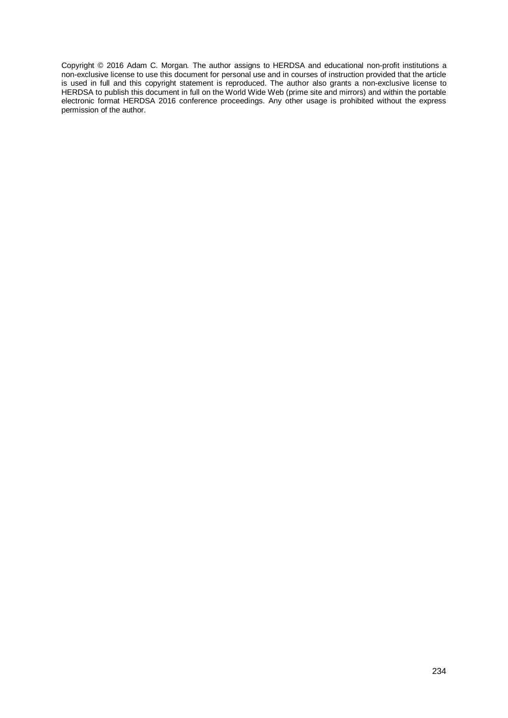Copyright © 2016 Adam C. Morgan*.* The author assigns to HERDSA and educational non-profit institutions a non-exclusive license to use this document for personal use and in courses of instruction provided that the article is used in full and this copyright statement is reproduced. The author also grants a non-exclusive license to HERDSA to publish this document in full on the World Wide Web (prime site and mirrors) and within the portable electronic format HERDSA 2016 conference proceedings. Any other usage is prohibited without the express permission of the author.